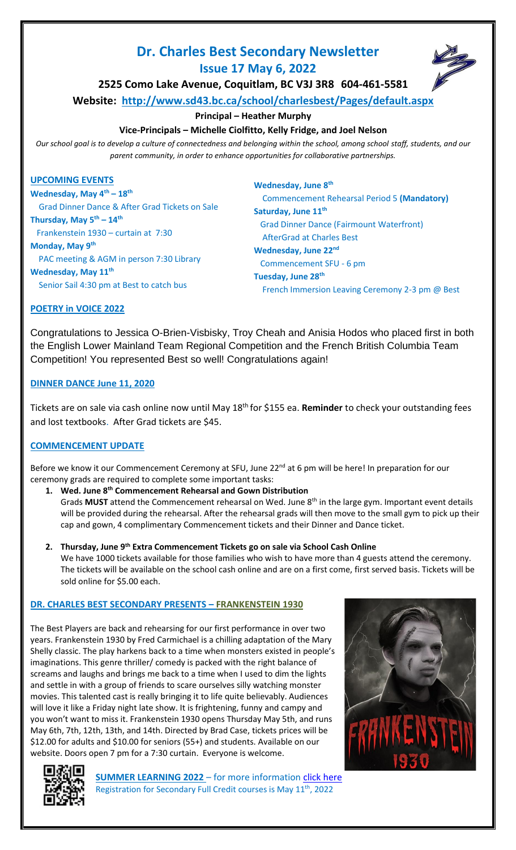# **Dr. Charles Best Secondary Newsletter**



**Issue 17 May 6, 2022**

**2525 Como Lake Avenue, Coquitlam, BC V3J 3R8 604-461-5581**

**Website: <http://www.sd43.bc.ca/school/charlesbest/Pages/default.aspx>**

# **Principal – Heather Murphy**

**Vice-Principals – Michelle Ciolfitto, Kelly Fridge, and Joel Nelson**

*Our school goal is to develop a culture of connectedness and belonging within the school, among school staff, students, and our parent community, in order to enhance opportunities for collaborative partnerships.*

## **UPCOMING EVENTS**

**Wednesday, May 4th – 18th** Grad Dinner Dance & After Grad Tickets on Sale **Thursday, May 5th – 14th** Frankenstein 1930 – curtain at 7:30 **Monday, May 9th** PAC meeting & AGM in person 7:30 Library **Wednesday, May 11th** Senior Sail 4:30 pm at Best to catch bus

**Wednesday, June 8th** Commencement Rehearsal Period 5 **(Mandatory) Saturday, June 11th** Grad Dinner Dance (Fairmount Waterfront) AfterGrad at Charles Best Wednesday, June 22<sup>nd</sup> Commencement SFU - 6 pm **Tuesday, June 28th** French Immersion Leaving Ceremony 2-3 pm @ Best

# **POETRY in VOICE 2022**

Congratulations to Jessica O-Brien-Visbisky, Troy Cheah and Anisia Hodos who placed first in both the English Lower Mainland Team Regional Competition and the French British Columbia Team Competition! You represented Best so well! Congratulations again!

# **DINNER DANCE June 11, 2020**

Tickets are on sale via cash online now until May 18th for \$155 ea. **Reminder** to check your outstanding fees and lost textbooks. After Grad tickets are \$45.

# **COMMENCEMENT UPDATE**

Before we know it our Commencement Ceremony at SFU, June 22<sup>nd</sup> at 6 pm will be here! In preparation for our ceremony grads are required to complete some important tasks:

- **1. Wed. June 8th Commencement Rehearsal and Gown Distribution**  Grads **MUST** attend the Commencement rehearsal on Wed. June 8<sup>th</sup> in the large gym. Important event details will be provided during the rehearsal. After the rehearsal grads will then move to the small gym to pick up their cap and gown, 4 complimentary Commencement tickets and their Dinner and Dance ticket.
- **2. Thursday, June 9th Extra Commencement Tickets go on sale via School Cash Online** We have 1000 tickets available for those families who wish to have more than 4 guests attend the ceremony. The tickets will be available on the school cash online and are on a first come, first served basis. Tickets will be sold online for \$5.00 each.

# **DR. CHARLES BEST SECONDARY PRESENTS – FRANKENSTEIN 1930**

The Best Players are back and rehearsing for our first performance in over two years. Frankenstein 1930 by Fred Carmichael is a chilling adaptation of the Mary Shelly classic. The play harkens back to a time when monsters existed in people's imaginations. This genre thriller/ comedy is packed with the right balance of screams and laughs and brings me back to a time when I used to dim the lights and settle in with a group of friends to scare ourselves silly watching monster movies. This talented cast is really bringing it to life quite believably. Audiences will love it like a Friday night late show. It is frightening, funny and campy and you won't want to miss it. Frankenstein 1930 opens Thursday May 5th, and runs May 6th, 7th, 12th, 13th, and 14th. Directed by Brad Case, tickets prices will be \$12.00 for adults and \$10.00 for seniors (55+) and students. Available on our website. Doors open 7 pm for a 7:30 curtain. Everyone is welcome.





**SUMMER LEARNING 2022** – for more information [click here](https://ce43.augusoft.net/info/landing/summer-learning) Registration for Secondary Full Credit courses is May 11<sup>th</sup>, 2022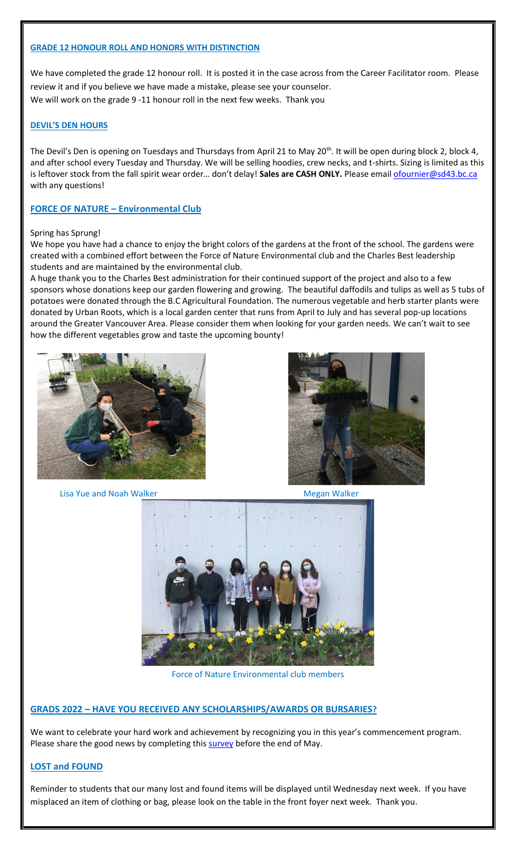## **GRADE 12 HONOUR ROLL AND HONORS WITH DISTINCTION**

We have completed the grade 12 honour roll. It is posted it in the case across from the Career Facilitator room. Please review it and if you believe we have made a mistake, please see your counselor. We will work on the grade 9 -11 honour roll in the next few weeks. Thank you

## **DEVIL'S DEN HOURS**

The Devil's Den is opening on Tuesdays and Thursdays from April 21 to May 20<sup>th</sup>. It will be open during block 2, block 4, and after school every Tuesday and Thursday. We will be selling hoodies, crew necks, and t-shirts. Sizing is limited as this is leftover stock from the fall spirit wear order... don't delay! Sales are CASH ONLY. Please email [ofournier@sd43.bc.ca](mailto:ofournier@sd43.bc.ca) with any questions!

## **FORCE OF NATURE – Environmental Club**

### Spring has Sprung!

We hope you have had a chance to enjoy the bright colors of the gardens at the front of the school. The gardens were created with a combined effort between the Force of Nature Environmental club and the Charles Best leadership students and are maintained by the environmental club.

A huge thank you to the Charles Best administration for their continued support of the project and also to a few sponsors whose donations keep our garden flowering and growing. The beautiful daffodils and tulips as well as 5 tubs of potatoes were donated through the B.C Agricultural Foundation. The numerous vegetable and herb starter plants were donated by Urban Roots, which is a local garden center that runs from April to July and has several pop-up locations around the Greater Vancouver Area. Please consider them when looking for your garden needs. We can't wait to see how the different vegetables grow and taste the upcoming bounty!





Lisa Yue and Noah Walker Megan Walker Megan Walker



Force of Nature Environmental club members

### **GRADS 2022 – HAVE YOU RECEIVED ANY SCHOLARSHIPS/AWARDS OR BURSARIES?**

We want to celebrate your hard work and achievement by recognizing you in this year's commencement program. Please share the good news by completing thi[s survey](https://forms.office.com/r/J1cGQxwRWp) before the end of May.

## **LOST and FOUND**

Reminder to students that our many lost and found items will be displayed until Wednesday next week. If you have misplaced an item of clothing or bag, please look on the table in the front foyer next week. Thank you.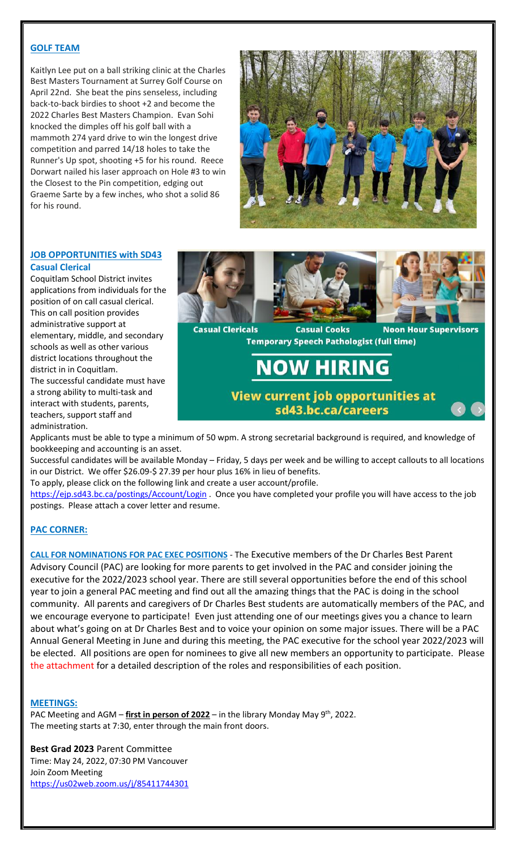## **GOLF TEAM**

Kaitlyn Lee put on a ball striking clinic at the Charles Best Masters Tournament at Surrey Golf Course on April 22nd. She beat the pins senseless, including back-to-back birdies to shoot +2 and become the 2022 Charles Best Masters Champion. Evan Sohi knocked the dimples off his golf ball with a mammoth 274 yard drive to win the longest drive competition and parred 14/18 holes to take the Runner's Up spot, shooting +5 for his round. Reece Dorwart nailed his laser approach on Hole #3 to win the Closest to the Pin competition, edging out Graeme Sarte by a few inches, who shot a solid 86 for his round.



## **JOB OPPORTUNITIES with SD43 Casual Clerical**

Coquitlam School District invites applications from individuals for the position of on call casual clerical. This on call position provides administrative support at elementary, middle, and secondary schools as well as other various district locations throughout the district in in Coquitlam. The successful candidate must have

a strong ability to multi-task and interact with students, parents, teachers, support staff and administration.



Applicants must be able to type a minimum of 50 wpm. A strong secretarial background is required, and knowledge of bookkeeping and accounting is an asset.

Successful candidates will be available Monday – Friday, 5 days per week and be willing to accept callouts to all locations in our District. We offer \$26.09-\$ 27.39 per hour plus 16% in lieu of benefits.

To apply, please click on the following link and create a user account/profile.

<https://ejp.sd43.bc.ca/postings/Account/Login> . Once you have completed your profile you will have access to the job postings. Please attach a cover letter and resume.

## **PAC CORNER:**

**CALL FOR NOMINATIONS FOR PAC EXEC POSITIONS** - The Executive members of the Dr Charles Best Parent Advisory Council (PAC) are looking for more parents to get involved in the PAC and consider joining the executive for the 2022/2023 school year. There are still several opportunities before the end of this school year to join a general PAC meeting and find out all the amazing things that the PAC is doing in the school community. All parents and caregivers of Dr Charles Best students are automatically members of the PAC, and we encourage everyone to participate! Even just attending one of our meetings gives you a chance to learn about what's going on at Dr Charles Best and to voice your opinion on some major issues. There will be a PAC Annual General Meeting in June and during this meeting, the PAC executive for the school year 2022/2023 will be elected. All positions are open for nominees to give all new members an opportunity to participate. Please the attachment for a detailed description of the roles and responsibilities of each position.

## **MEETINGS:**

PAC Meeting and AGM – **first in person of 2022** – in the library Monday May 9<sup>th</sup>, 2022. The meeting starts at 7:30, enter through the main front doors.

**Best Grad 2023** Parent Committee Time: May 24, 2022, 07:30 PM Vancouver Join Zoom Meeting <https://us02web.zoom.us/j/85411744301>